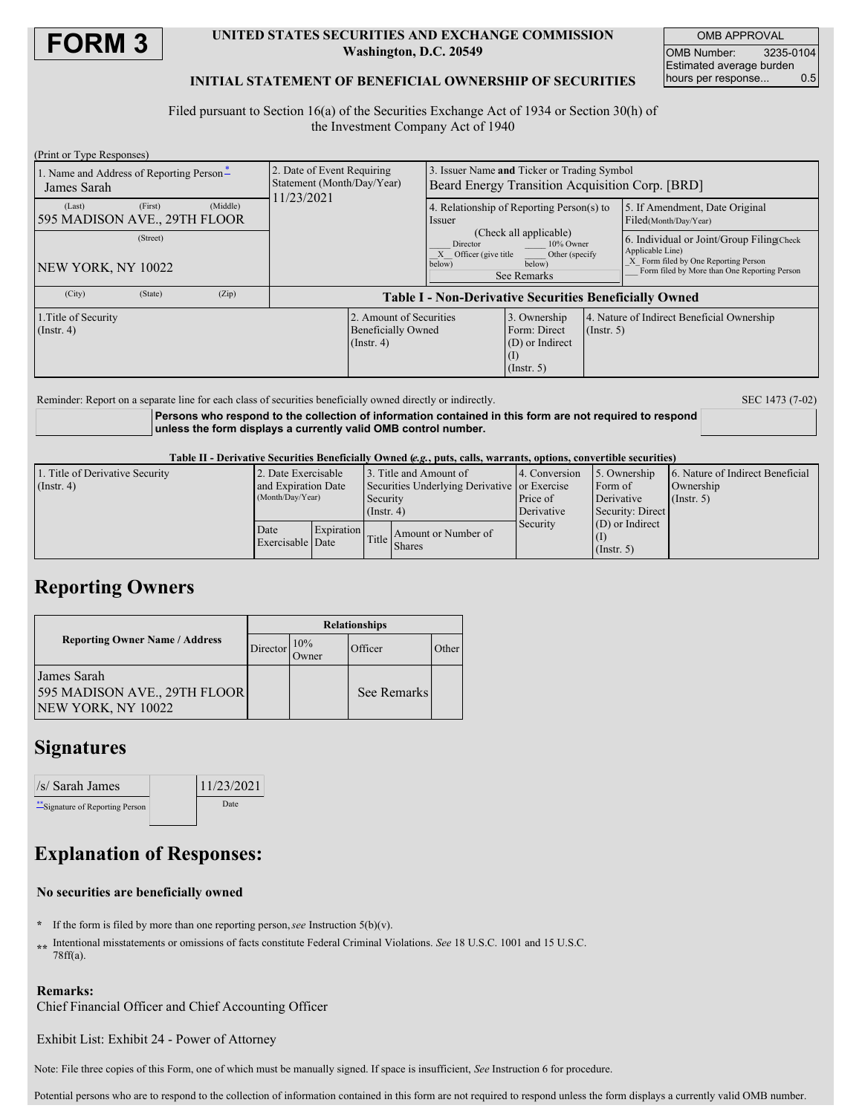

### **UNITED STATES SECURITIES AND EXCHANGE COMMISSION Washington, D.C. 20549**

OMB APPROVAL OMB Number: 3235-0104 Estimated average burden hours per response... 0.5

### **INITIAL STATEMENT OF BENEFICIAL OWNERSHIP OF SECURITIES**

Filed pursuant to Section 16(a) of the Securities Exchange Act of 1934 or Section 30(h) of the Investment Company Act of 1940

| (Print or Type Responses)                                     |                                                                          |                                                                                                                                 |                                                                       |                  |                                                                                                                                                       |
|---------------------------------------------------------------|--------------------------------------------------------------------------|---------------------------------------------------------------------------------------------------------------------------------|-----------------------------------------------------------------------|------------------|-------------------------------------------------------------------------------------------------------------------------------------------------------|
| 1. Name and Address of Reporting Person-<br>James Sarah       | 2. Date of Event Requiring<br>Statement (Month/Day/Year)<br>1/23/2021    | 3. Issuer Name and Ticker or Trading Symbol<br>Beard Energy Transition Acquisition Corp. [BRD]                                  |                                                                       |                  |                                                                                                                                                       |
| (First)<br>(Middle)<br>(Last)<br>595 MADISON AVE., 29TH FLOOR |                                                                          | 4. Relationship of Reporting Person(s) to<br>Issuer                                                                             |                                                                       |                  | 5. If Amendment, Date Original<br>Filed(Month/Day/Year)                                                                                               |
| (Street)<br>NEW YORK, NY 10022                                |                                                                          | (Check all applicable)<br>10% Owner<br>Director<br>$X$ Officer (give title<br>Other (specify<br>below)<br>below)<br>See Remarks |                                                                       |                  | 6. Individual or Joint/Group Filing Check<br>Applicable Line)<br>X Form filed by One Reporting Person<br>Form filed by More than One Reporting Person |
| (Zip)<br>(City)<br>(State)                                    | <b>Table I - Non-Derivative Securities Beneficially Owned</b>            |                                                                                                                                 |                                                                       |                  |                                                                                                                                                       |
| 1. Title of Security<br>$($ Instr. 4 $)$                      | 2. Amount of Securities<br><b>Beneficially Owned</b><br>$($ Instr. 4 $)$ |                                                                                                                                 | 3. Ownership<br>Form: Direct<br>$(D)$ or Indirect<br>$($ Instr. 5 $)$ | $($ Instr. 5 $)$ | 4. Nature of Indirect Beneficial Ownership                                                                                                            |

Reminder: Report on a separate line for each class of securities beneficially owned directly or indirectly. SEC 1473 (7-02)

**Persons who respond to the collection of information contained in this form are not required to respond unless the form displays a currently valid OMB control number.**

Table II - Derivative Securities Beneficially Owned (e.g., puts, calls, warrants, options, convertible securities)

| 1. Title of Derivative Security | 2. Date Exercisable                     |            |                                                          | 3. Title and Amount of              | 14. Conversion | 5. Ownership      | 6. Nature of Indirect Beneficial |  |
|---------------------------------|-----------------------------------------|------------|----------------------------------------------------------|-------------------------------------|----------------|-------------------|----------------------------------|--|
| $($ Instr. 4 $)$                | and Expiration Date<br>(Month/Day/Year) |            | Securities Underlying Derivative or Exercise<br>Security |                                     | Form of        |                   | Ownership                        |  |
|                                 |                                         |            |                                                          |                                     | Price of       | Derivative        | $($ Instr. 5 $)$                 |  |
|                                 |                                         |            | $($ Instr. 4 $)$                                         |                                     | Derivative     | Security: Direct  |                                  |  |
|                                 | Date<br>Exercisable Date                | Expiration |                                                          | Amount or Number of<br>Title Shares | Security       | $(D)$ or Indirect |                                  |  |
|                                 |                                         |            |                                                          |                                     |                |                   |                                  |  |
|                                 |                                         |            |                                                          |                                     |                | $($ Instr. 5)     |                                  |  |

## **Reporting Owners**

|                                                                   | <b>Relationships</b> |               |             |             |  |  |
|-------------------------------------------------------------------|----------------------|---------------|-------------|-------------|--|--|
| <b>Reporting Owner Name / Address</b>                             | Director             | 10%<br>Owner) | Officer     | <b>Ther</b> |  |  |
| James Sarah<br>595 MADISON AVE., 29TH FLOOR<br>NEW YORK, NY 10022 |                      |               | See Remarks |             |  |  |

## **Signatures**

| $\sqrt{s}$ Sarah James           | 11/23/2021 |  |
|----------------------------------|------------|--|
| ** Signature of Reporting Person | Date       |  |

# **Explanation of Responses:**

### **No securities are beneficially owned**

- **\*** If the form is filed by more than one reporting person,*see* Instruction 5(b)(v).
- **\*\*** Intentional misstatements or omissions of facts constitute Federal Criminal Violations. *See* 18 U.S.C. 1001 and 15 U.S.C. 78ff(a).

### **Remarks:**

Chief Financial Officer and Chief Accounting Officer

Exhibit List: Exhibit 24 - Power of Attorney

Note: File three copies of this Form, one of which must be manually signed. If space is insufficient, *See* Instruction 6 for procedure.

Potential persons who are to respond to the collection of information contained in this form are not required to respond unless the form displays a currently valid OMB number.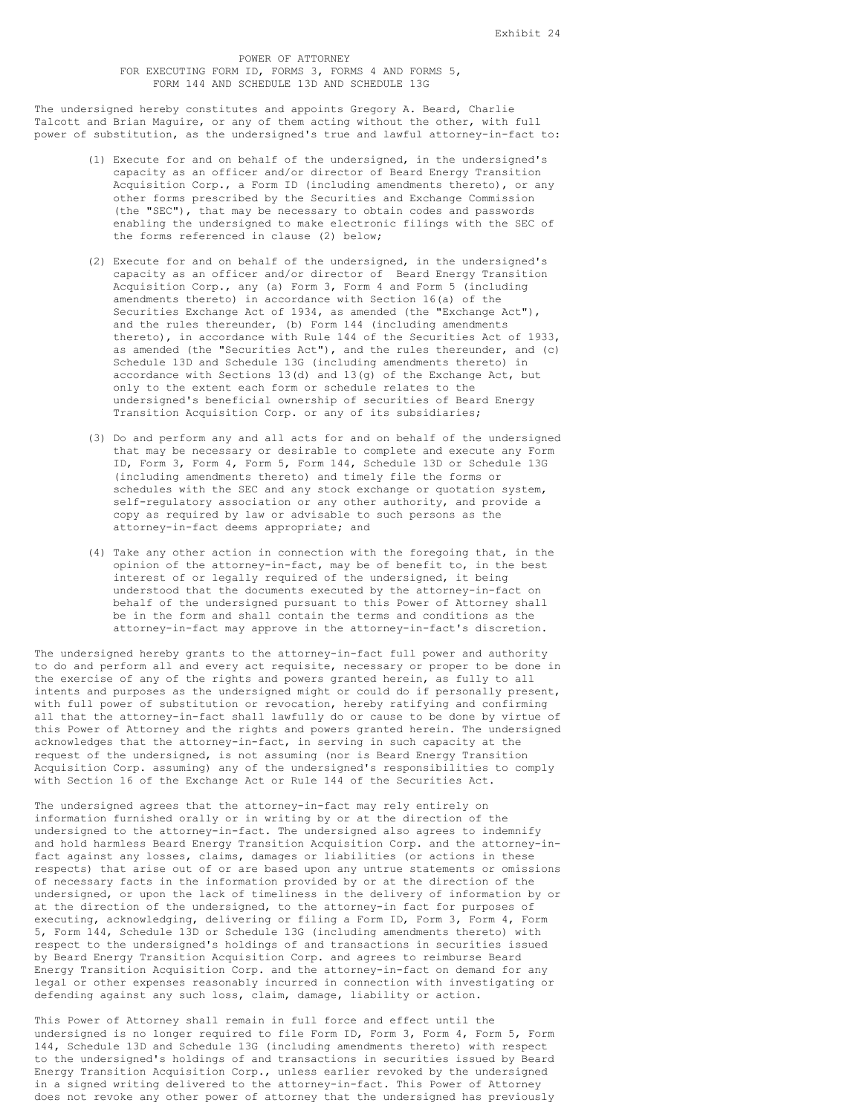#### POWER OF ATTORNEY FOR EXECUTING FORM ID, FORMS 3, FORMS 4 AND FORMS 5, FORM 144 AND SCHEDULE 13D AND SCHEDULE 13G

The undersigned hereby constitutes and appoints Gregory A. Beard, Charlie Talcott and Brian Maguire, or any of them acting without the other, with full power of substitution, as the undersigned's true and lawful attorney-in-fact to:

- (1) Execute for and on behalf of the undersigned, in the undersigned's capacity as an officer and/or director of Beard Energy Transition Acquisition Corp., a Form ID (including amendments thereto), or any other forms prescribed by the Securities and Exchange Commission (the "SEC"), that may be necessary to obtain codes and passwords enabling the undersigned to make electronic filings with the SEC of the forms referenced in clause (2) below;
- (2) Execute for and on behalf of the undersigned, in the undersigned's capacity as an officer and/or director of Beard Energy Transition Acquisition Corp., any (a) Form 3, Form 4 and Form 5 (including amendments thereto) in accordance with Section 16(a) of the Securities Exchange Act of 1934, as amended (the "Exchange Act"), and the rules thereunder, (b) Form 144 (including amendments thereto), in accordance with Rule 144 of the Securities Act of 1933, as amended (the "Securities Act"), and the rules thereunder, and (c) Schedule 13D and Schedule 13G (including amendments thereto) in accordance with Sections  $13(d)$  and  $13(q)$  of the Exchange Act, but only to the extent each form or schedule relates to the undersigned's beneficial ownership of securities of Beard Energy Transition Acquisition Corp. or any of its subsidiaries;
- (3) Do and perform any and all acts for and on behalf of the undersigned that may be necessary or desirable to complete and execute any Form ID, Form 3, Form 4, Form 5, Form 144, Schedule 13D or Schedule 13G (including amendments thereto) and timely file the forms or schedules with the SEC and any stock exchange or quotation system, self-regulatory association or any other authority, and provide a copy as required by law or advisable to such persons as the attorney-in-fact deems appropriate; and
- (4) Take any other action in connection with the foregoing that, in the opinion of the attorney-in-fact, may be of benefit to, in the best interest of or legally required of the undersigned, it being understood that the documents executed by the attorney-in-fact on behalf of the undersigned pursuant to this Power of Attorney shall be in the form and shall contain the terms and conditions as the attorney-in-fact may approve in the attorney-in-fact's discretion.

The undersigned hereby grants to the attorney-in-fact full power and authority to do and perform all and every act requisite, necessary or proper to be done in the exercise of any of the rights and powers granted herein, as fully to all intents and purposes as the undersigned might or could do if personally present, with full power of substitution or revocation, hereby ratifying and confirming all that the attorney-in-fact shall lawfully do or cause to be done by virtue of this Power of Attorney and the rights and powers granted herein. The undersigned acknowledges that the attorney-in-fact, in serving in such capacity at the request of the undersigned, is not assuming (nor is Beard Energy Transition Acquisition Corp. assuming) any of the undersigned's responsibilities to comply with Section 16 of the Exchange Act or Rule 144 of the Securities Act.

The undersigned agrees that the attorney-in-fact may rely entirely on information furnished orally or in writing by or at the direction of the undersigned to the attorney-in-fact. The undersigned also agrees to indemnify and hold harmless Beard Energy Transition Acquisition Corp. and the attorney-infact against any losses, claims, damages or liabilities (or actions in these respects) that arise out of or are based upon any untrue statements or omissions of necessary facts in the information provided by or at the direction of the undersigned, or upon the lack of timeliness in the delivery of information by or at the direction of the undersigned, to the attorney-in fact for purposes of executing, acknowledging, delivering or filing a Form ID, Form 3, Form 4, Form 5, Form 144, Schedule 13D or Schedule 13G (including amendments thereto) with respect to the undersigned's holdings of and transactions in securities issued by Beard Energy Transition Acquisition Corp. and agrees to reimburse Beard Energy Transition Acquisition Corp. and the attorney-in-fact on demand for any legal or other expenses reasonably incurred in connection with investigating or defending against any such loss, claim, damage, liability or action.

This Power of Attorney shall remain in full force and effect until the undersigned is no longer required to file Form ID, Form 3, Form 4, Form 5, Form 144, Schedule 13D and Schedule 13G (including amendments thereto) with respect to the undersigned's holdings of and transactions in securities issued by Beard Energy Transition Acquisition Corp., unless earlier revoked by the undersigned in a signed writing delivered to the attorney-in-fact. This Power of Attorney does not revoke any other power of attorney that the undersigned has previously